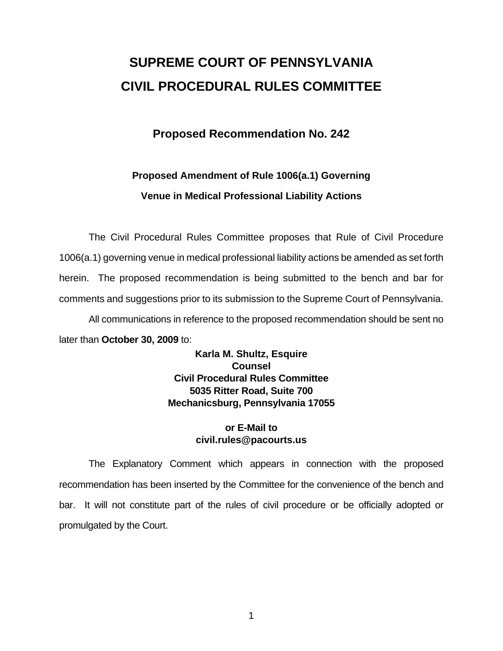# **SUPREME COURT OF PENNSYLVANIA CIVIL PROCEDURAL RULES COMMITTEE**

## **Proposed Recommendation No. 242**

# **Proposed Amendment of Rule 1006(a.1) Governing Venue in Medical Professional Liability Actions**

 The Civil Procedural Rules Committee proposes that Rule of Civil Procedure 1006(a.1) governing venue in medical professional liability actions be amended as set forth herein. The proposed recommendation is being submitted to the bench and bar for comments and suggestions prior to its submission to the Supreme Court of Pennsylvania. All communications in reference to the proposed recommendation should be sent no

later than **October 30, 2009** to:

**Karla M. Shultz, Esquire Counsel Civil Procedural Rules Committee 5035 Ritter Road, Suite 700 Mechanicsburg, Pennsylvania 17055** 

### **or E-Mail to civil.rules@pacourts.us**

 The Explanatory Comment which appears in connection with the proposed recommendation has been inserted by the Committee for the convenience of the bench and bar. It will not constitute part of the rules of civil procedure or be officially adopted or promulgated by the Court.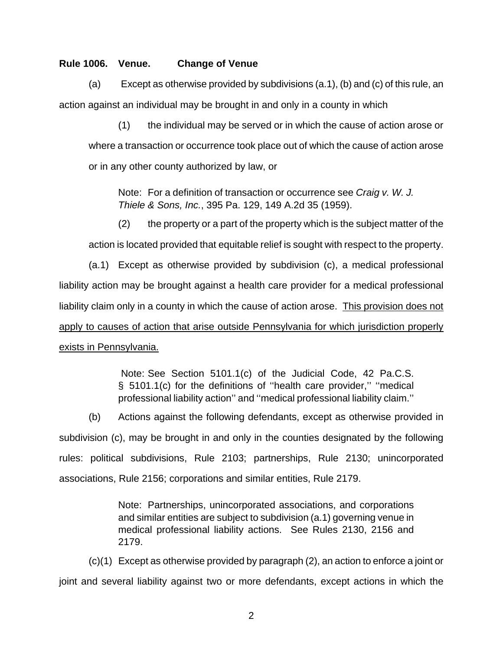#### **Rule 1006. Venue. Change of Venue**

 (a) Except as otherwise provided by subdivisions (a.1), (b) and (c) of this rule, an action against an individual may be brought in and only in a county in which

(1) the individual may be served or in which the cause of action arose or where a transaction or occurrence took place out of which the cause of action arose or in any other county authorized by law, or

Note: For a definition of transaction or occurrence see *Craig v. W. J. Thiele & Sons, Inc.*, 395 Pa. 129, 149 A.2d 35 (1959).

(2) the property or a part of the property which is the subject matter of the action is located provided that equitable relief is sought with respect to the property.

 (a.1) Except as otherwise provided by subdivision (c), a medical professional liability action may be brought against a health care provider for a medical professional liability claim only in a county in which the cause of action arose. This provision does not apply to causes of action that arise outside Pennsylvania for which jurisdiction properly exists in Pennsylvania.

> Note: See Section 5101.1(c) of the Judicial Code, 42 Pa.C.S. § 5101.1(c) for the definitions of "health care provider," "medical professional liability action'' and ''medical professional liability claim.''

(b) Actions against the following defendants, except as otherwise provided in subdivision (c), may be brought in and only in the counties designated by the following rules: political subdivisions, Rule 2103; partnerships, Rule 2130; unincorporated associations, Rule 2156; corporations and similar entities, Rule 2179.

> Note: Partnerships, unincorporated associations, and corporations and similar entities are subject to subdivision (a.1) governing venue in medical professional liability actions. See Rules 2130, 2156 and 2179.

 (c)(1) Except as otherwise provided by paragraph (2), an action to enforce a joint or joint and several liability against two or more defendants, except actions in which the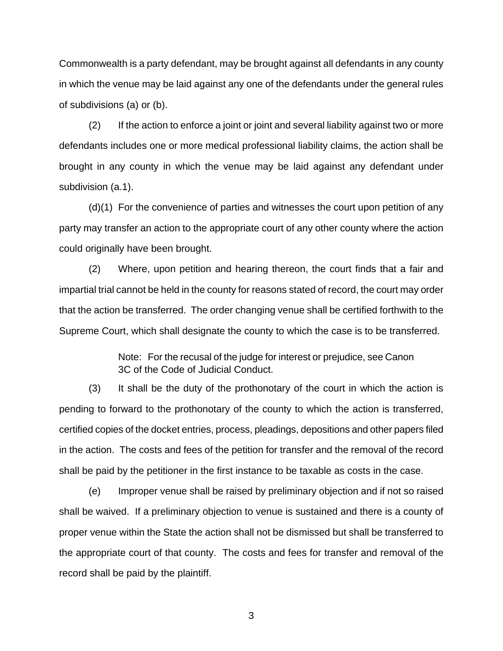Commonwealth is a party defendant, may be brought against all defendants in any county in which the venue may be laid against any one of the defendants under the general rules of subdivisions (a) or (b).

 (2) If the action to enforce a joint or joint and several liability against two or more defendants includes one or more medical professional liability claims, the action shall be brought in any county in which the venue may be laid against any defendant under subdivision (a.1).

 (d)(1) For the convenience of parties and witnesses the court upon petition of any party may transfer an action to the appropriate court of any other county where the action could originally have been brought.

 (2) Where, upon petition and hearing thereon, the court finds that a fair and impartial trial cannot be held in the county for reasons stated of record, the court may order that the action be transferred. The order changing venue shall be certified forthwith to the Supreme Court, which shall designate the county to which the case is to be transferred.

> Note: For the recusal of the judge for interest or prejudice, see Canon 3C of the Code of Judicial Conduct.

 (3) It shall be the duty of the prothonotary of the court in which the action is pending to forward to the prothonotary of the county to which the action is transferred, certified copies of the docket entries, process, pleadings, depositions and other papers filed in the action. The costs and fees of the petition for transfer and the removal of the record shall be paid by the petitioner in the first instance to be taxable as costs in the case.

 (e) Improper venue shall be raised by preliminary objection and if not so raised shall be waived. If a preliminary objection to venue is sustained and there is a county of proper venue within the State the action shall not be dismissed but shall be transferred to the appropriate court of that county. The costs and fees for transfer and removal of the record shall be paid by the plaintiff.

3